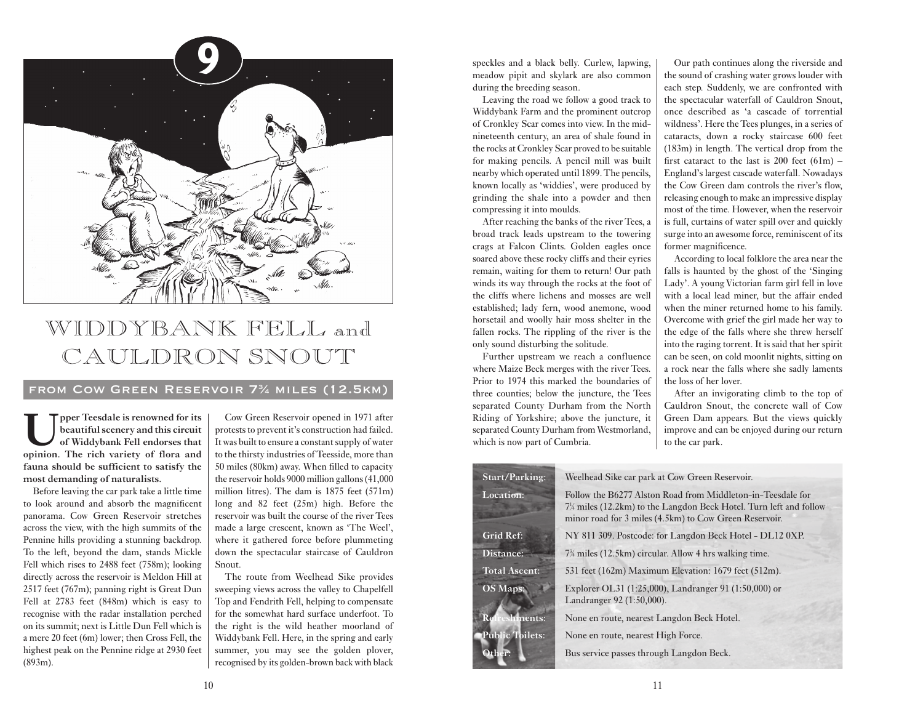

## WIDDYBANK FELL and CAULDRON SNOUT

## from Cow Green Reservoir 73 ⁄4 miles (12.5km)

**Upper Teesdale is renowned for its beautiful scenery and this circuit of Widdybank Fell endorses that opinion. The rich variety of flora and fauna should be sufficient to satisfy the most demanding of naturalists.**

Before leaving the car park take a little time to look around and absorb the magnificent panorama. Cow Green Reservoir stretches across the view, with the high summits of the Pennine hills providing a stunning backdrop. To the left, beyond the dam, stands Mickle Fell which rises to 2488 feet (758m); looking directly across the reservoir is Meldon Hill at 2517 feet (767m); panning right is Great Dun Fell at 2783 feet (848m) which is easy to recognise with the radar installation perched on its summit; next is Little Dun Fell which is a mere 20 feet (6m) lower; then Cross Fell, the highest peak on the Pennine ridge at 2930 feet (893m).

Cow Green Reservoir opened in 1971 after protests to prevent it's construction had failed. It was built to ensure a constant supply of water to the thirsty industries of Teesside, more than 50 miles (80km) away. When filled to capacity the reservoir holds 9000 million gallons (41,000 million litres). The dam is 1875 feet (571m) long and 82 feet (25m) high. Before the reservoir was built the course of the river Tees made a large crescent, known as 'The Weel', where it gathered force before plummeting down the spectacular staircase of Cauldron Snout.

The route from Weelhead Sike provides sweeping views across the valley to Chapelfell Top and Fendrith Fell, helping to compensate for the somewhat hard surface underfoot. To the right is the wild heather moorland of Widdybank Fell. Here, in the spring and early summer, you may see the golden ployer, recognised by its golden-brown back with black

speckles and a black belly. Curlew, lapwing, meadow pipit and skylark are also common during the breeding season.

Leaving the road we follow a good track to Widdybank Farm and the prominent outcrop of Cronkley Scar comes into view. In the midnineteenth century, an area of shale found in the rocks at Cronkley Scar proved to be suitable for making pencils. A pencil mill was built nearby which operated until 1899. The pencils, known locally as 'widdies', were produced by grinding the shale into a powder and then compressing it into moulds.

After reaching the banks of the river Tees, a broad track leads upstream to the towering crags at Falcon Clints. Golden eagles once soared above these rocky cliffs and their eyries remain, waiting for them to return! Our path winds its way through the rocks at the foot of the cliffs where lichens and mosses are well established; lady fern, wood anemone, wood horsetail and woolly hair moss shelter in the fallen rocks. The rippling of the river is the only sound disturbing the solitude.

Further upstream we reach a confluence where Maize Beck merges with the river Tees. Prior to 1974 this marked the boundaries of three counties; below the juncture, the Tees separated County Durham from the North Riding of Yorkshire; above the juncture, it separated County Durham from Westmorland, which is now part of Cumbria.

Our path continues along the riverside and the sound of crashing water grows louder with each step. Suddenly, we are confronted with the spectacular waterfall of Cauldron Snout, once described as 'a cascade of torrential wildness'. Here the Tees plunges, in a series of cataracts, down a rocky staircase 600 feet (183m) in length. The vertical drop from the first cataract to the last is  $200$  feet  $(61m)$  -England's largest cascade waterfall. Nowadays the Cow Green dam controls the river's flow, releasing enough to make an impressive display most of the time. However, when the reservoir is full, curtains of water spill over and quickly surge into an awesome force, reminiscent of its former magnificence.

According to local folklore the area near the falls is haunted by the ghost of the 'Singing Lady'. A young Victorian farm girl fell in love with a local lead miner, but the affair ended when the miner returned home to his family. Overcome with grief the girl made her way to the edge of the falls where she threw herself into the raging torrent. It is said that her spirit can be seen, on cold moonlit nights, sitting on a rock near the falls where she sadly laments the loss of her lover.

After an invigorating climb to the top of Cauldron Snout, the concrete wall of Cow Green Dam appears. But the views quickly improve and can be enjoyed during our return to the car park.

| Start/Parking:         | Weelhead Sike car park at Cow Green Reservoir.                                                                                                                                                         |
|------------------------|--------------------------------------------------------------------------------------------------------------------------------------------------------------------------------------------------------|
| Location:              | Follow the B6277 Alston Road from Middleton-in-Teesdale for<br>$7\frac{1}{4}$ miles (12.2km) to the Langdon Beck Hotel. Turn left and follow<br>minor road for 3 miles (4.5km) to Cow Green Reservoir. |
| Grid Ref:              | NY 811 309. Postcode: for Langdon Beck Hotel - DL12 0XP.                                                                                                                                               |
| Distance:              | 7 <sup>3</sup> / <sub>4</sub> miles (12.5km) circular. Allow 4 hrs walking time.                                                                                                                       |
| <b>Total Ascent:</b>   | 531 feet (162m) Maximum Elevation: 1679 feet (512m).                                                                                                                                                   |
| <b>OS Maps:</b>        | Explorer OL31 (1:25,000), Landranger 91 (1:50,000) or<br>Landranger 92 (1:50,000).                                                                                                                     |
| eshments:              | None en route, nearest Langdon Beck Hotel.                                                                                                                                                             |
| <b>Public Toilets:</b> | None en route, nearest High Force.                                                                                                                                                                     |
| Other:                 | Bus service passes through Langdon Beck.                                                                                                                                                               |